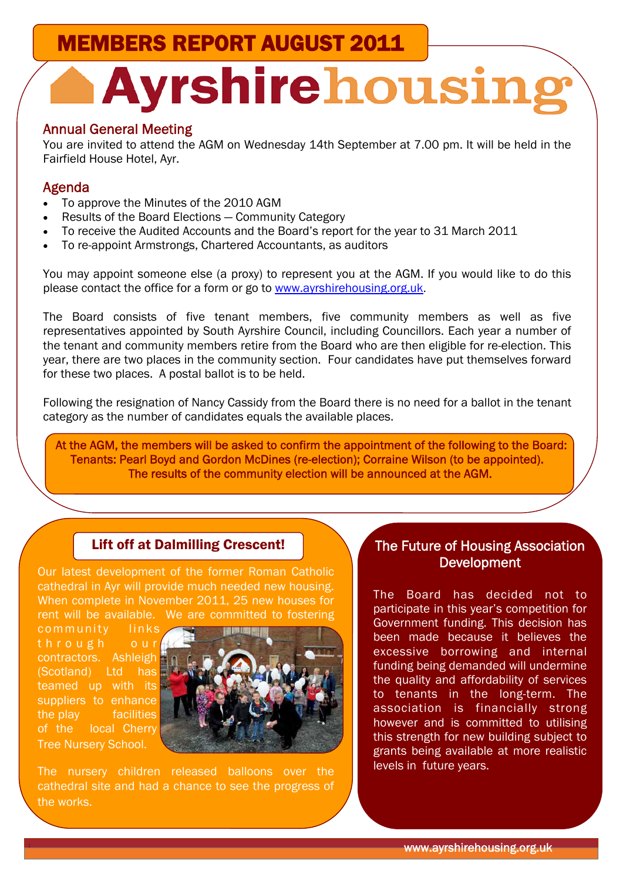MEMBERS REPORT AUGUST 2011

# **Ayrshirehousing**

#### Annual General Meeting

You are invited to attend the AGM on Wednesday 14th September at 7.00 pm. It will be held in the Fairfield House Hotel, Ayr.

#### Agenda

- To approve the Minutes of the 2010 AGM
- Results of the Board Elections Community Category
- To receive the Audited Accounts and the Board's report for the year to 31 March 2011
- To re-appoint Armstrongs, Chartered Accountants, as auditors

You may appoint someone else (a proxy) to represent you at the AGM. If you would like to do this please contact the office for a form or go to www.ayrshirehousing.org.uk.

The Board consists of five tenant members, five community members as well as five representatives appointed by South Ayrshire Council, including Councillors. Each year a number of the tenant and community members retire from the Board who are then eligible for re-election. This year, there are two places in the community section. Four candidates have put themselves forward for these two places. A postal ballot is to be held.

Following the resignation of Nancy Cassidy from the Board there is no need for a ballot in the tenant category as the number of candidates equals the available places.

 At the AGM, the members will be asked to confirm the appointment of the following to the Board: Tenants: Pearl Boyd and Gordon McDines (re-election); Corraine Wilson (to be appointed). The results of the community election will be announced at the AGM.

#### Lift off at Dalmilling Crescent!

Our latest development of the former Roman Catholic cathedral in Ayr will provide much needed new housing. When complete in November 2011, 25 new houses for rent will be available. We are committed to fostering

community links through our contractors. Ashleigh (Scotland) Ltd has teamed up with its suppliers to enhance the play facilities of the local Cherry Tree Nursery School.



The nursery children released balloons over the cathedral site and had a chance to see the progress of the works.

#### The Future of Housing Association **Development**

The Board has decided not to participate in this year's competition for Government funding. This decision has been made because it believes the excessive borrowing and internal funding being demanded will undermine the quality and affordability of services to tenants in the long-term. The association is financially strong however and is committed to utilising this strength for new building subject to grants being available at more realistic levels in future years.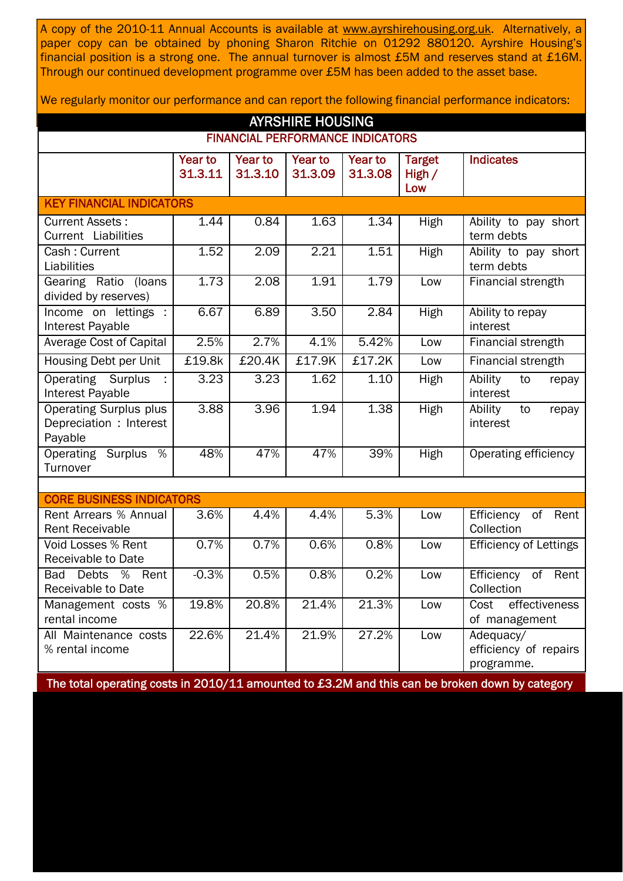A copy of the 2010-11 Annual Accounts is available at www.ayrshirehousing.org.uk. Alternatively, a paper copy can be obtained by phoning Sharon Ritchie on 01292 880120. Ayrshire Housing's financial position is a strong one. The annual turnover is almost £5M and reserves stand at £16M. Through our continued development programme over £5M has been added to the asset base.

We regularly monitor our performance and can report the following financial performance indicators:

| <b>AYRSHIRE HOUSING</b>                                             |                           |                    |                    |                    |                                  |                                                  |  |
|---------------------------------------------------------------------|---------------------------|--------------------|--------------------|--------------------|----------------------------------|--------------------------------------------------|--|
| <b>FINANCIAL PERFORMANCE INDICATORS</b>                             |                           |                    |                    |                    |                                  |                                                  |  |
|                                                                     | <b>Year to</b><br>31.3.11 | Year to<br>31.3.10 | Year to<br>31.3.09 | Year to<br>31.3.08 | <b>Target</b><br>High $/$<br>Low | <b>Indicates</b>                                 |  |
| <b>KEY FINANCIAL INDICATORS</b>                                     |                           |                    |                    |                    |                                  |                                                  |  |
| <b>Current Assets:</b><br>Current Liabilities                       | 1.44                      | 0.84               | 1.63               | 1.34               | High                             | Ability to pay short<br>term debts               |  |
| Cash: Current<br>Liabilities                                        | 1.52                      | 2.09               | 2.21               | 1.51               | High                             | Ability to pay short<br>term debts               |  |
| Gearing Ratio<br>(loans<br>divided by reserves)                     | 1.73                      | 2.08               | 1.91               | 1.79               | Low                              | Financial strength                               |  |
| Income on lettings :<br>Interest Payable                            | 6.67                      | 6.89               | 3.50               | 2.84               | <b>High</b>                      | Ability to repay<br>interest                     |  |
| <b>Average Cost of Capital</b>                                      | 2.5%                      | 2.7%               | 4.1%               | 5.42%              | Low                              | Financial strength                               |  |
| Housing Debt per Unit                                               | £19.8k                    | £20.4K             | £17.9K             | £17.2K             | Low                              | <b>Financial strength</b>                        |  |
| <b>Operating Surplus</b><br>Interest Payable                        | 3.23                      | 3.23               | 1.62               | 1.10               | High                             | Ability<br>to<br>repay<br>interest               |  |
| <b>Operating Surplus plus</b><br>Depreciation : Interest<br>Payable | 3.88                      | 3.96               | 1.94               | 1.38               | High                             | Ability<br>to<br>repay<br>interest               |  |
| <b>Operating Surplus</b><br>%<br>Turnover                           | 48%                       | 47%                | 47%                | 39%                | High                             | Operating efficiency                             |  |
|                                                                     |                           |                    |                    |                    |                                  |                                                  |  |
| <b>CORE BUSINESS INDICATORS</b><br>Rent Arrears % Annual            | 3.6%                      | 4.4%               | 4.4%               | 5.3%               | Low                              | of<br>Efficiency<br>Rent                         |  |
| <b>Rent Receivable</b>                                              |                           |                    |                    |                    |                                  | Collection                                       |  |
| Void Losses % Rent<br><b>Receivable to Date</b>                     | 0.7%                      | 0.7%               | 0.6%               | 0.8%               | Low                              | Efficiency of Lettings                           |  |
| %<br><b>Bad</b><br>Debts<br>Rent<br>Receivable to Date              | $-0.3%$                   | 0.5%               | 0.8%               | 0.2%               | Low                              | Efficiency<br>of<br>Rent<br>Collection           |  |
| Management costs %<br>rental income                                 | 19.8%                     | 20.8%              | 21.4%              | 21.3%              | Low                              | effectiveness<br>Cost<br>of management           |  |
| All Maintenance costs<br>% rental income                            | 22.6%                     | 21.4%              | 21.9%              | 27.2%              | Low                              | Adequacy/<br>efficiency of repairs<br>programme. |  |

The total operating costs in 2010/11 amounted to £3.2M and this can be broken down by category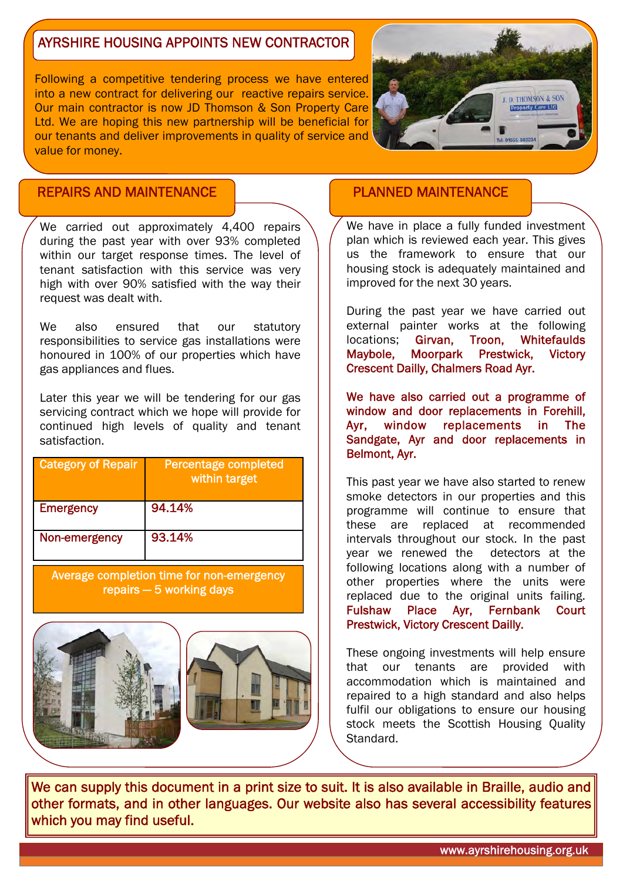## AYRSHIRE HOUSING APPOINTS NEW CONTRACTOR

Following a competitive tendering process we have entered into a new contract for delivering our reactive repairs service. Our main contractor is now JD Thomson & Son Property Care Ltd. We are hoping this new partnership will be beneficial for our tenants and deliver improvements in quality of service and value for money.



### REPAIRS AND MAINTENANCE

We carried out approximately 4,400 repairs during the past year with over 93% completed within our target response times. The level of tenant satisfaction with this service was very high with over 90% satisfied with the way their request was dealt with.

We also ensured that our statutory responsibilities to service gas installations were honoured in 100% of our properties which have gas appliances and flues.

Later this year we will be tendering for our gas servicing contract which we hope will provide for continued high levels of quality and tenant satisfaction.

| <b>Category of Repair</b> | Percentage completed<br>within target |
|---------------------------|---------------------------------------|
| <b>Emergency</b>          | 94.14%                                |
| Non-emergency             | 93.14%                                |

Average completion time for non-emergency repairs — 5 working days



## PLANNED MAINTENANCE

We have in place a fully funded investment plan which is reviewed each year. This gives us the framework to ensure that our housing stock is adequately maintained and improved for the next 30 years.

During the past year we have carried out external painter works at the following locations; Girvan, Troon, Whitefaulds Maybole, Moorpark Prestwick, Victory Crescent Dailly, Chalmers Road Ayr.

We have also carried out a programme of window and door replacements in Forehill, Ayr, window replacements in The Sandgate, Ayr and door replacements in Belmont, Ayr.

This past year we have also started to renew smoke detectors in our properties and this programme will continue to ensure that these are replaced at recommended intervals throughout our stock. In the past year we renewed the detectors at the following locations along with a number of other properties where the units were replaced due to the original units failing. Fulshaw Place Ayr, Fernbank Court Prestwick, Victory Crescent Dailly.

These ongoing investments will help ensure that our tenants are provided with accommodation which is maintained and repaired to a high standard and also helps fulfil our obligations to ensure our housing stock meets the Scottish Housing Quality Standard.

We can supply this document in a print size to suit. It is also available in Braille, audio and other formats, and in other languages. Our website also has several accessibility features which you may find useful.